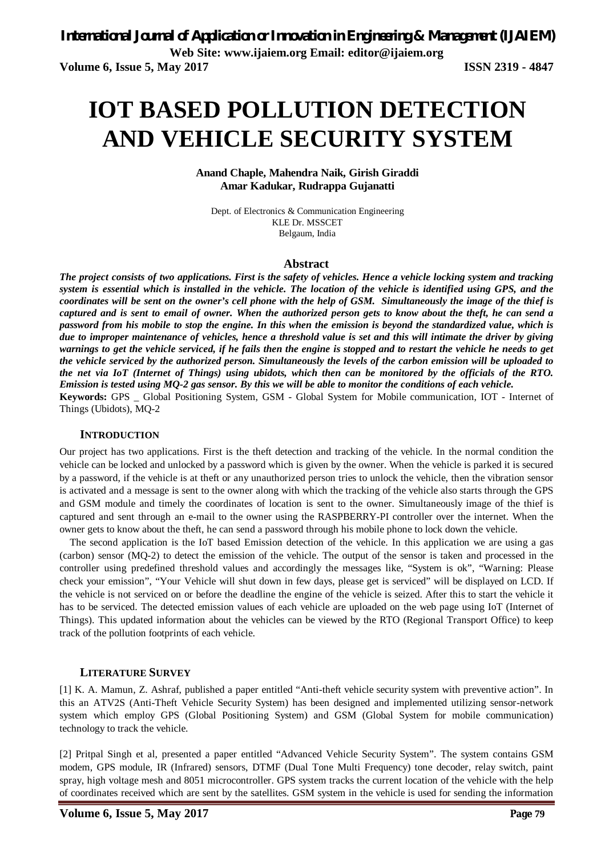# **IOT BASED POLLUTION DETECTION AND VEHICLE SECURITY SYSTEM**

**Anand Chaple, Mahendra Naik, Girish Giraddi Amar Kadukar, Rudrappa Gujanatti** 

Dept. of Electronics & Communication Engineering KLE Dr. MSSCET Belgaum, India

### **Abstract**

*The project consists of two applications. First is the safety of vehicles. Hence a vehicle locking system and tracking system is essential which is installed in the vehicle. The location of the vehicle is identified using GPS, and the coordinates will be sent on the owner's cell phone with the help of GSM. Simultaneously the image of the thief is captured and is sent to email of owner. When the authorized person gets to know about the theft, he can send a password from his mobile to stop the engine. In this when the emission is beyond the standardized value, which is due to improper maintenance of vehicles, hence a threshold value is set and this will intimate the driver by giving warnings to get the vehicle serviced, if he fails then the engine is stopped and to restart the vehicle he needs to get the vehicle serviced by the authorized person. Simultaneously the levels of the carbon emission will be uploaded to the net via IoT (Internet of Things) using ubidots, which then can be monitored by the officials of the RTO. Emission is tested using MQ-2 gas sensor. By this we will be able to monitor the conditions of each vehicle.* **Keywords:** GPS \_ Global Positioning System, GSM - Global System for Mobile communication, IOT - Internet of Things (Ubidots), MQ-2

# **INTRODUCTION**

Our project has two applications. First is the theft detection and tracking of the vehicle. In the normal condition the vehicle can be locked and unlocked by a password which is given by the owner. When the vehicle is parked it is secured by a password, if the vehicle is at theft or any unauthorized person tries to unlock the vehicle, then the vibration sensor is activated and a message is sent to the owner along with which the tracking of the vehicle also starts through the GPS and GSM module and timely the coordinates of location is sent to the owner. Simultaneously image of the thief is captured and sent through an e-mail to the owner using the RASPBERRY-PI controller over the internet. When the owner gets to know about the theft, he can send a password through his mobile phone to lock down the vehicle.

The second application is the IoT based Emission detection of the vehicle. In this application we are using a gas (carbon) sensor (MQ-2) to detect the emission of the vehicle. The output of the sensor is taken and processed in the controller using predefined threshold values and accordingly the messages like, "System is ok", "Warning: Please check your emission", "Your Vehicle will shut down in few days, please get is serviced" will be displayed on LCD. If the vehicle is not serviced on or before the deadline the engine of the vehicle is seized. After this to start the vehicle it has to be serviced. The detected emission values of each vehicle are uploaded on the web page using IoT (Internet of Things). This updated information about the vehicles can be viewed by the RTO (Regional Transport Office) to keep track of the pollution footprints of each vehicle.

# **LITERATURE SURVEY**

[1] K. A. Mamun, Z. Ashraf, published a paper entitled "Anti-theft vehicle security system with preventive action". In this an ATV2S (Anti-Theft Vehicle Security System) has been designed and implemented utilizing sensor-network system which employ GPS (Global Positioning System) and GSM (Global System for mobile communication) technology to track the vehicle.

[2] Pritpal Singh et al, presented a paper entitled "Advanced Vehicle Security System". The system contains GSM modem, GPS module, IR (Infrared) sensors, DTMF (Dual Tone Multi Frequency) tone decoder, relay switch, paint spray, high voltage mesh and 8051 microcontroller. GPS system tracks the current location of the vehicle with the help of coordinates received which are sent by the satellites. GSM system in the vehicle is used for sending the information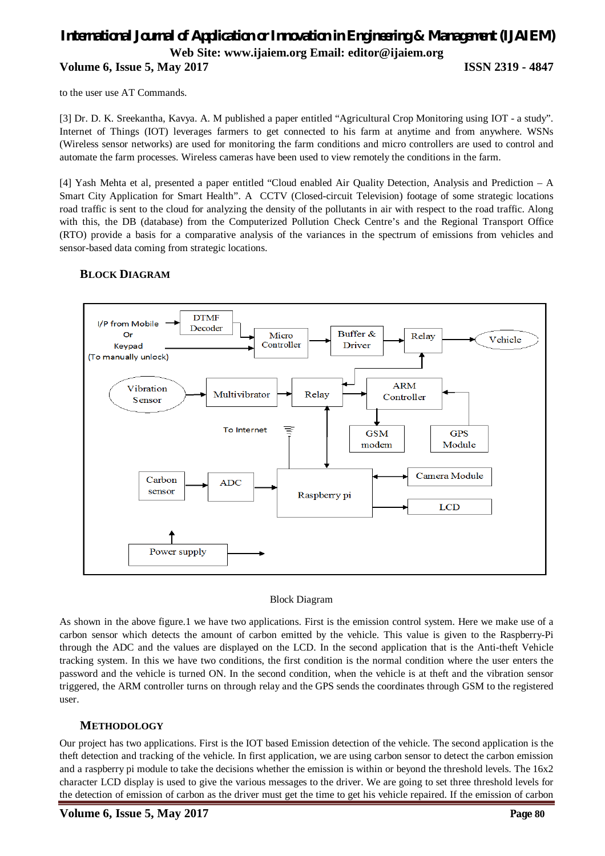# *International Journal of Application or Innovation in Engineering & Management (IJAIEM)* **Web Site: www.ijaiem.org Email: editor@ijaiem.org Volume 6, Issue 5, May 2017 ISSN 2319 - 4847**

to the user use AT Commands.

[3] Dr. D. K. Sreekantha, Kavya. A. M published a paper entitled "Agricultural Crop Monitoring using IOT - a study". Internet of Things (IOT) leverages farmers to get connected to his farm at anytime and from anywhere. WSNs (Wireless sensor networks) are used for monitoring the farm conditions and micro controllers are used to control and automate the farm processes. Wireless cameras have been used to view remotely the conditions in the farm.

[4] Yash Mehta et al, presented a paper entitled "Cloud enabled Air Quality Detection, Analysis and Prediction – A Smart City Application for Smart Health". A CCTV (Closed-circuit Television) footage of some strategic locations road traffic is sent to the cloud for analyzing the density of the pollutants in air with respect to the road traffic. Along with this, the DB (database) from the Computerized Pollution Check Centre's and the Regional Transport Office (RTO) provide a basis for a comparative analysis of the variances in the spectrum of emissions from vehicles and sensor-based data coming from strategic locations.

# **BLOCK DIAGRAM**



### Block Diagram

As shown in the above figure.1 we have two applications. First is the emission control system. Here we make use of a carbon sensor which detects the amount of carbon emitted by the vehicle. This value is given to the Raspberry-Pi through the ADC and the values are displayed on the LCD. In the second application that is the Anti-theft Vehicle tracking system. In this we have two conditions, the first condition is the normal condition where the user enters the password and the vehicle is turned ON. In the second condition, when the vehicle is at theft and the vibration sensor triggered, the ARM controller turns on through relay and the GPS sends the coordinates through GSM to the registered user.

# **METHODOLOGY**

Our project has two applications. First is the IOT based Emission detection of the vehicle. The second application is the theft detection and tracking of the vehicle. In first application, we are using carbon sensor to detect the carbon emission and a raspberry pi module to take the decisions whether the emission is within or beyond the threshold levels. The 16x2 character LCD display is used to give the various messages to the driver. We are going to set three threshold levels for the detection of emission of carbon as the driver must get the time to get his vehicle repaired. If the emission of carbon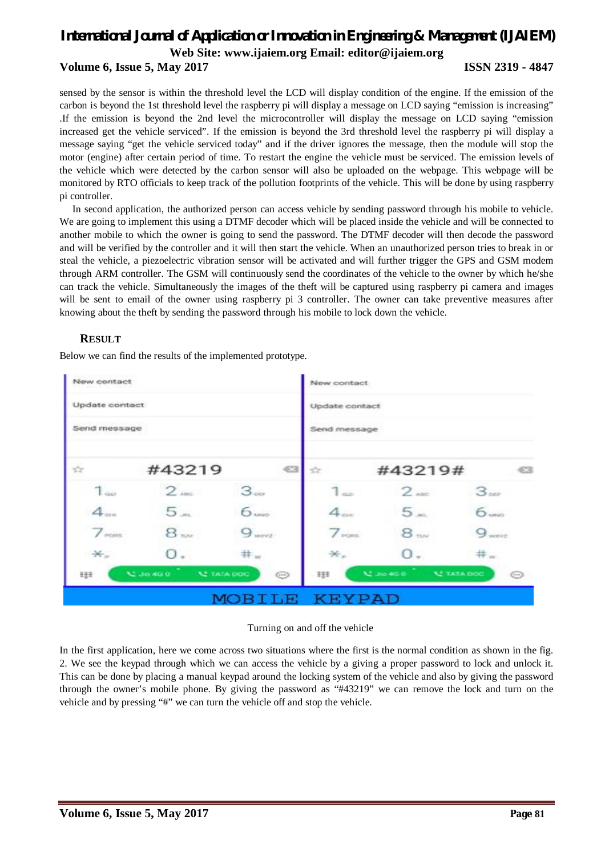# *International Journal of Application or Innovation in Engineering & Management (IJAIEM)* **Web Site: www.ijaiem.org Email: editor@ijaiem.org Volume 6, Issue 5, May 2017 ISSN 2319 - 4847**

sensed by the sensor is within the threshold level the LCD will display condition of the engine. If the emission of the carbon is beyond the 1st threshold level the raspberry pi will display a message on LCD saying "emission is increasing" .If the emission is beyond the 2nd level the microcontroller will display the message on LCD saying "emission increased get the vehicle serviced". If the emission is beyond the 3rd threshold level the raspberry pi will display a message saying "get the vehicle serviced today" and if the driver ignores the message, then the module will stop the motor (engine) after certain period of time. To restart the engine the vehicle must be serviced. The emission levels of the vehicle which were detected by the carbon sensor will also be uploaded on the webpage. This webpage will be monitored by RTO officials to keep track of the pollution footprints of the vehicle. This will be done by using raspberry pi controller.

In second application, the authorized person can access vehicle by sending password through his mobile to vehicle. We are going to implement this using a DTMF decoder which will be placed inside the vehicle and will be connected to another mobile to which the owner is going to send the password. The DTMF decoder will then decode the password and will be verified by the controller and it will then start the vehicle. When an unauthorized person tries to break in or steal the vehicle, a piezoelectric vibration sensor will be activated and will further trigger the GPS and GSM modem through ARM controller. The GSM will continuously send the coordinates of the vehicle to the owner by which he/she can track the vehicle. Simultaneously the images of the theft will be captured using raspberry pi camera and images will be sent to email of the owner using raspberry pi 3 controller. The owner can take preventive measures after knowing about the theft by sending the password through his mobile to lock down the vehicle.

# **RESULT**

Below we can find the results of the implemented prototype.



### Turning on and off the vehicle

In the first application, here we come across two situations where the first is the normal condition as shown in the fig. 2. We see the keypad through which we can access the vehicle by a giving a proper password to lock and unlock it. This can be done by placing a manual keypad around the locking system of the vehicle and also by giving the password through the owner's mobile phone. By giving the password as "#43219" we can remove the lock and turn on the vehicle and by pressing "#" we can turn the vehicle off and stop the vehicle.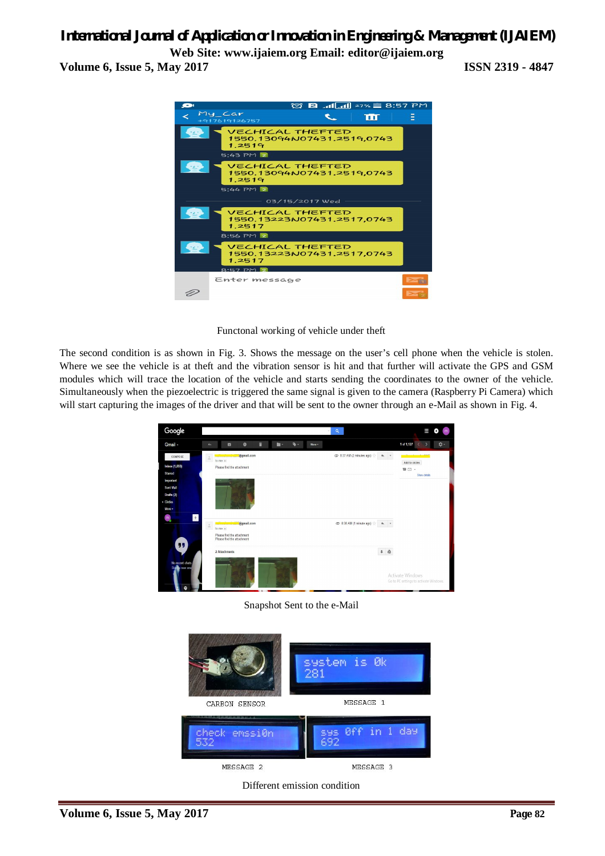# *International Journal of Application or Innovation in Engineering & Management (IJAIEM)*

**Web Site: www.ijaiem.org Email: editor@ijaiem.org Volume 6, Issue 5, May 2017 ISSN 2319 - 4847**



Functonal working of vehicle under theft

The second condition is as shown in Fig. 3. Shows the message on the user's cell phone when the vehicle is stolen. Where we see the vehicle is at theft and the vibration sensor is hit and that further will activate the GPS and GSM modules which will trace the location of the vehicle and starts sending the coordinates to the owner of the vehicle. Simultaneously when the piezoelectric is triggered the same signal is given to the camera (Raspberry Pi Camera) which will start capturing the images of the driver and that will be sent to the owner through an e-Mail as shown in Fig. 4.



Snapshot Sent to the e-Mail



Different emission condition